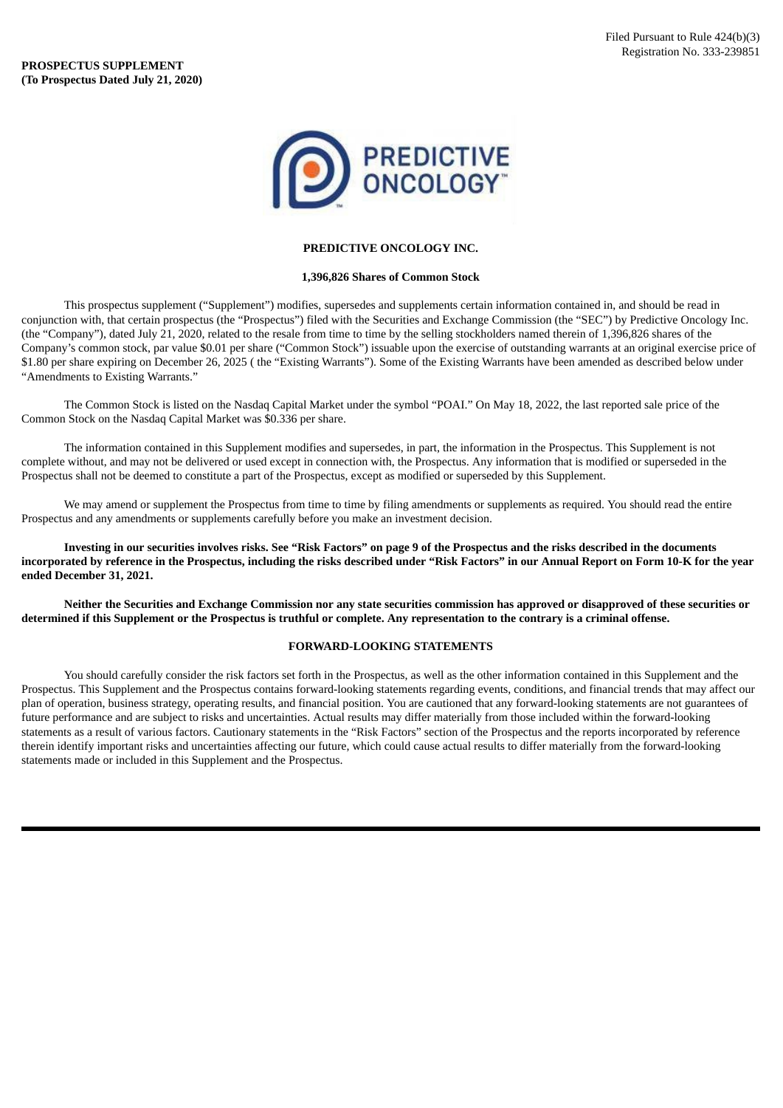

## **PREDICTIVE ONCOLOGY INC.**

## **1,396,826 Shares of Common Stock**

This prospectus supplement ("Supplement") modifies, supersedes and supplements certain information contained in, and should be read in conjunction with, that certain prospectus (the "Prospectus") filed with the Securities and Exchange Commission (the "SEC") by Predictive Oncology Inc. (the "Company"), dated July 21, 2020, related to the resale from time to time by the selling stockholders named therein of 1,396,826 shares of the Company's common stock, par value \$0.01 per share ("Common Stock") issuable upon the exercise of outstanding warrants at an original exercise price of \$1.80 per share expiring on December 26, 2025 ( the "Existing Warrants"). Some of the Existing Warrants have been amended as described below under "Amendments to Existing Warrants."

The Common Stock is listed on the Nasdaq Capital Market under the symbol "POAI." On May 18, 2022, the last reported sale price of the Common Stock on the Nasdaq Capital Market was \$0.336 per share.

The information contained in this Supplement modifies and supersedes, in part, the information in the Prospectus. This Supplement is not complete without, and may not be delivered or used except in connection with, the Prospectus. Any information that is modified or superseded in the Prospectus shall not be deemed to constitute a part of the Prospectus, except as modified or superseded by this Supplement.

We may amend or supplement the Prospectus from time to time by filing amendments or supplements as required. You should read the entire Prospectus and any amendments or supplements carefully before you make an investment decision.

Investing in our securities involves risks. See "Risk Factors" on page 9 of the Prospectus and the risks described in the documents incorporated by reference in the Prospectus, including the risks described under "Risk Factors" in our Annual Report on Form 10-K for the year **ended December 31, 2021.**

Neither the Securities and Exchange Commission nor any state securities commission has approved or disapproved of these securities or determined if this Supplement or the Prospectus is truthful or complete. Any representation to the contrary is a criminal offense.

## **FORWARD-LOOKING STATEMENTS**

You should carefully consider the risk factors set forth in the Prospectus, as well as the other information contained in this Supplement and the Prospectus. This Supplement and the Prospectus contains forward-looking statements regarding events, conditions, and financial trends that may affect our plan of operation, business strategy, operating results, and financial position. You are cautioned that any forward-looking statements are not guarantees of future performance and are subject to risks and uncertainties. Actual results may differ materially from those included within the forward-looking statements as a result of various factors. Cautionary statements in the "Risk Factors" section of the Prospectus and the reports incorporated by reference therein identify important risks and uncertainties affecting our future, which could cause actual results to differ materially from the forward-looking statements made or included in this Supplement and the Prospectus.